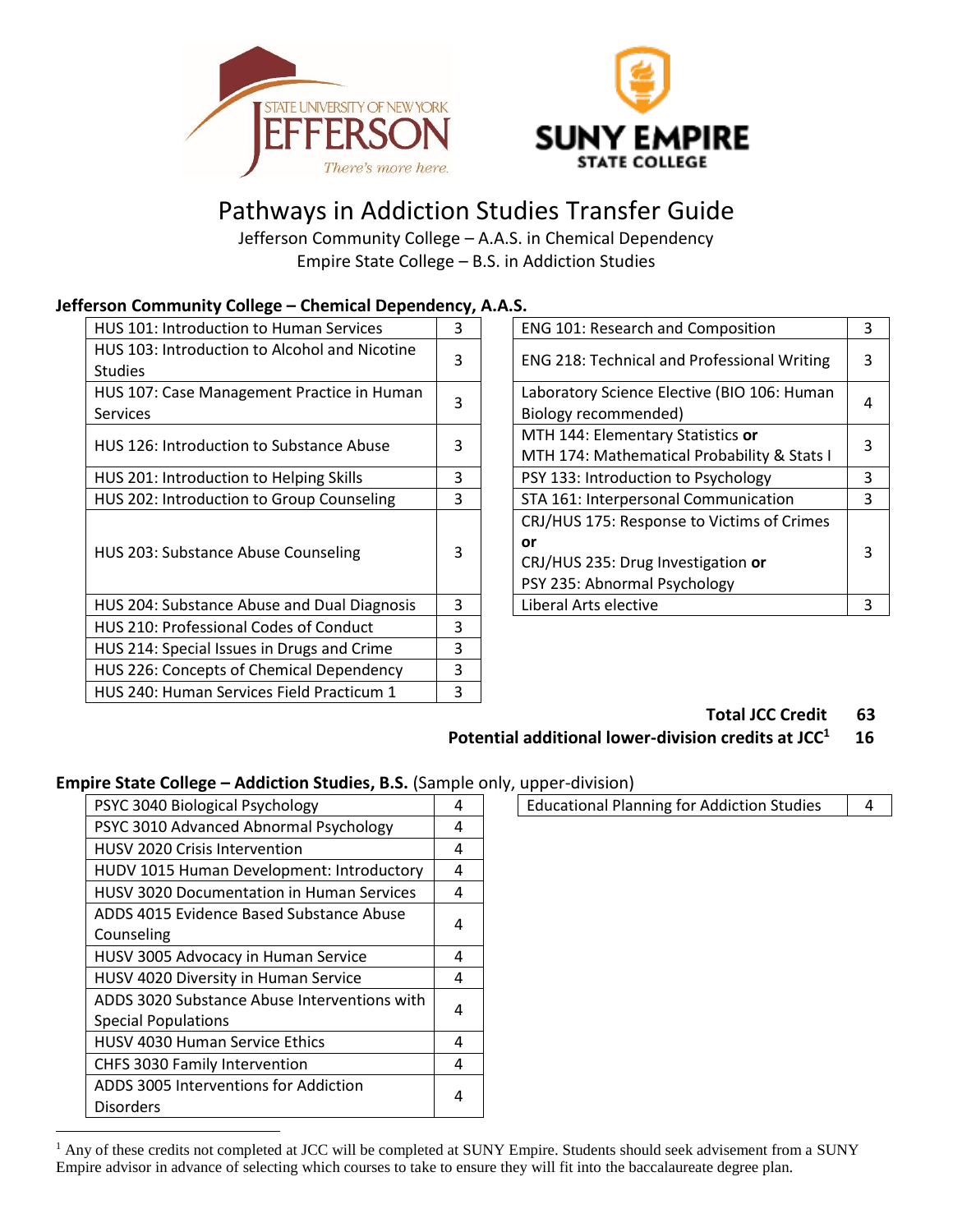



# Pathways in Addiction Studies Transfer Guide

Jefferson Community College – A.A.S. in Chemical Dependency Empire State College – B.S. in Addiction Studies

#### **Jefferson Community College – Chemical Dependency, A.A.S.**

| 3 | ENG 101: Research and Composition           | 3                                                  |    |   |
|---|---------------------------------------------|----------------------------------------------------|----|---|
| 3 |                                             | 3                                                  |    |   |
|   |                                             |                                                    |    |   |
|   | Laboratory Science Elective (BIO 106: Human | 4                                                  |    |   |
|   | Biology recommended)                        |                                                    |    |   |
| 3 | MTH 144: Elementary Statistics or           | 3                                                  |    |   |
|   | MTH 174: Mathematical Probability & Stats I |                                                    |    |   |
| 3 | PSY 133: Introduction to Psychology         | 3                                                  |    |   |
| 3 | STA 161: Interpersonal Communication        | 3                                                  |    |   |
| 3 | CRJ/HUS 175: Response to Victims of Crimes  |                                                    |    |   |
|   |                                             |                                                    | or | 3 |
|   | CRJ/HUS 235: Drug Investigation or          |                                                    |    |   |
|   | PSY 235: Abnormal Psychology                |                                                    |    |   |
| 3 | Liberal Arts elective                       | 3                                                  |    |   |
| 3 |                                             |                                                    |    |   |
| 3 |                                             |                                                    |    |   |
| 3 |                                             |                                                    |    |   |
| 3 |                                             |                                                    |    |   |
|   | 3                                           | <b>ENG 218: Technical and Professional Writing</b> |    |   |

| <b>ENG 101: Research and Composition</b>           | 3 |  |
|----------------------------------------------------|---|--|
| <b>ENG 218: Technical and Professional Writing</b> | 3 |  |
| Laboratory Science Elective (BIO 106: Human        | 4 |  |
| Biology recommended)                               |   |  |
| MTH 144: Elementary Statistics or                  |   |  |
| MTH 174: Mathematical Probability & Stats I        | 3 |  |
| PSY 133: Introduction to Psychology                | 3 |  |
| STA 161: Interpersonal Communication               | 3 |  |
| CRJ/HUS 175: Response to Victims of Crimes         |   |  |
| or                                                 | 3 |  |
| CRJ/HUS 235: Drug Investigation or                 |   |  |
| PSY 235: Abnormal Psychology                       |   |  |
| Liberal Arts elective                              | 3 |  |

#### **Total JCC Credit 63**

#### **Potential additional lower-division credits at JCC<sup>1</sup> 16**

### **Empire State College – Addiction Studies, B.S.** (Sample only, upper-division)

| PSYC 3040 Biological Psychology                  | 4 | <b>Educational Planning for Addiction Studies</b><br>4 |
|--------------------------------------------------|---|--------------------------------------------------------|
| PSYC 3010 Advanced Abnormal Psychology           | 4 |                                                        |
| <b>HUSV 2020 Crisis Intervention</b>             | 4 |                                                        |
| HUDV 1015 Human Development: Introductory        | 4 |                                                        |
| <b>HUSV 3020 Documentation in Human Services</b> | 4 |                                                        |
| ADDS 4015 Evidence Based Substance Abuse         |   |                                                        |
| Counseling                                       | 4 |                                                        |
| HUSV 3005 Advocacy in Human Service              | 4 |                                                        |
| HUSV 4020 Diversity in Human Service             | 4 |                                                        |
| ADDS 3020 Substance Abuse Interventions with     | 4 |                                                        |
| <b>Special Populations</b>                       |   |                                                        |
| <b>HUSV 4030 Human Service Ethics</b>            | 4 |                                                        |
| CHFS 3030 Family Intervention                    | 4 |                                                        |
| ADDS 3005 Interventions for Addiction            |   |                                                        |
| <b>Disorders</b>                                 | 4 |                                                        |
|                                                  |   |                                                        |

 $\overline{a}$ 

| <b>Educational Planning for Addiction Studies</b> |  |
|---------------------------------------------------|--|
|                                                   |  |
|                                                   |  |
|                                                   |  |

<sup>&</sup>lt;sup>1</sup> Any of these credits not completed at JCC will be completed at SUNY Empire. Students should seek advisement from a SUNY Empire advisor in advance of selecting which courses to take to ensure they will fit into the baccalaureate degree plan.